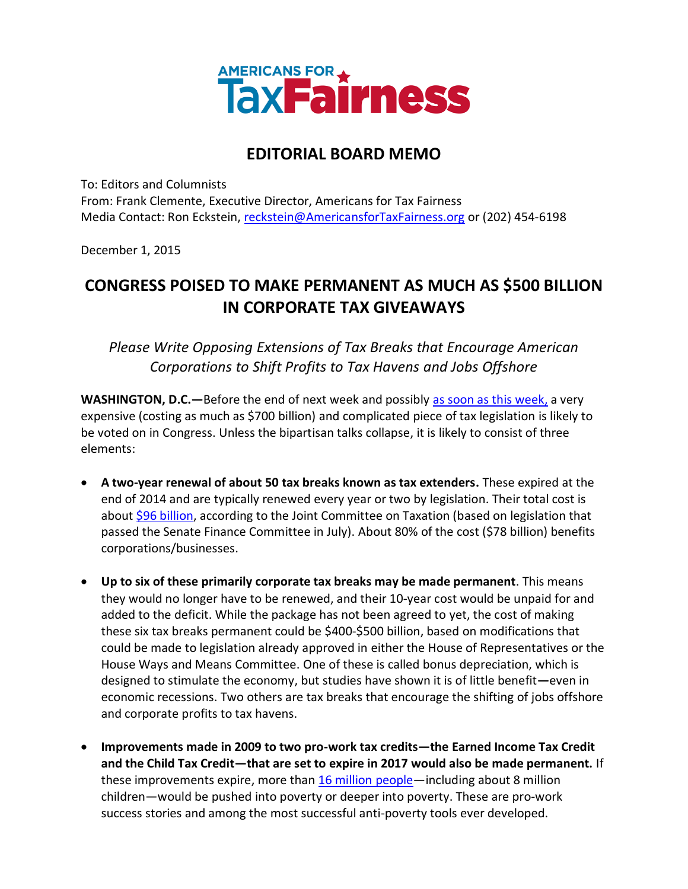

## **EDITORIAL BOARD MEMO**

To: Editors and Columnists From: Frank Clemente, Executive Director, Americans for Tax Fairness Media Contact: Ron Eckstein, [reckstein@AmericansforTaxFairness.org](mailto:reckstein@AmericansforTaxFairness.org) or (202) 454-6198

December 1, 2015

# **CONGRESS POISED TO MAKE PERMANENT AS MUCH AS \$500 BILLION IN CORPORATE TAX GIVEAWAYS**

### *Please Write Opposing Extensions of Tax Breaks that Encourage American Corporations to Shift Profits to Tax Havens and Jobs Offshore*

**WASHINGTON, D.C.—**Before the end of next week and possibly [as soon as this week,](https://www.washingtonpost.com/news/powerpost/wp/2015/11/30/tax-extender-negotiations-heat-up/) a very expensive (costing as much as \$700 billion) and complicated piece of tax legislation is likely to be voted on in Congress. Unless the bipartisan talks collapse, it is likely to consist of three elements:

- **A two-year renewal of about 50 tax breaks known as tax extenders.** These expired at the end of 2014 and are typically renewed every year or two by legislation. Their total cost is about [\\$96 billion,](https://www.jct.gov/publications.html?func=startdown&id=4801) according to the Joint Committee on Taxation (based on legislation that passed the Senate Finance Committee in July). About 80% of the cost (\$78 billion) benefits corporations/businesses.
- **Up to six of these primarily corporate tax breaks may be made permanent**. This means they would no longer have to be renewed, and their 10-year cost would be unpaid for and added to the deficit. While the package has not been agreed to yet, the cost of making these six tax breaks permanent could be \$400-\$500 billion, based on modifications that could be made to legislation already approved in either the House of Representatives or the House Ways and Means Committee. One of these is called bonus depreciation, which is designed to stimulate the economy, but studies have shown it is of little benefit**—**even in economic recessions. Two others are tax breaks that encourage the shifting of jobs offshore and corporate profits to tax havens.
- **Improvements made in 2009 to two pro-work tax credits—the Earned Income Tax Credit and the Child Tax Credit—that are set to expire in 2017 would also be made permanent.** If these improvements expire, more than [16 million people](http://www.cbpp.org/research/federal-tax/letting-key-provisions-of-working-family-tax-credits-expire-would-push-16)—including about 8 million children—would be pushed into poverty or deeper into poverty. These are pro-work success stories and among the most successful anti-poverty tools ever developed.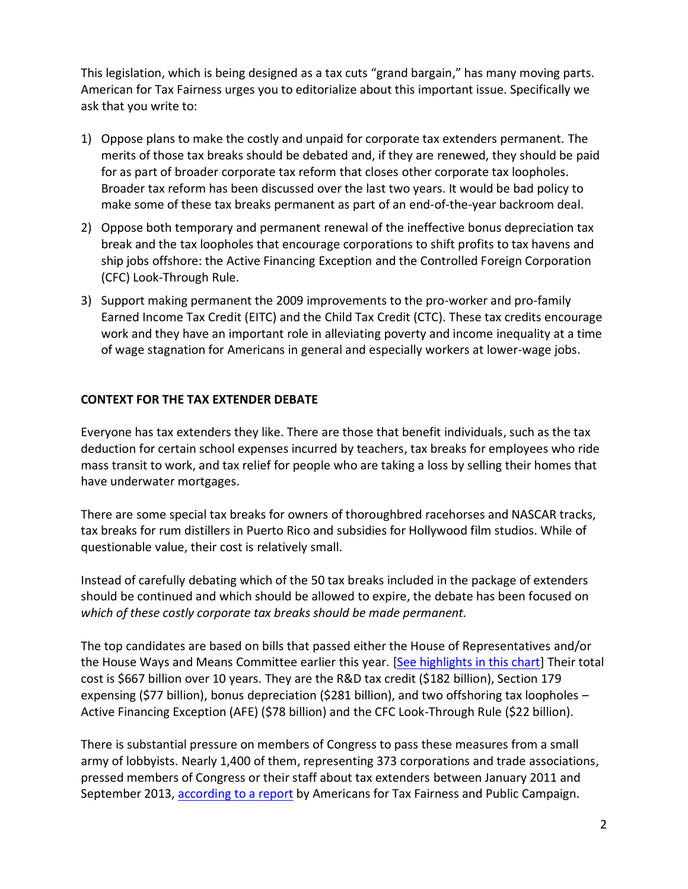This legislation, which is being designed as a tax cuts "grand bargain," has many moving parts. American for Tax Fairness urges you to editorialize about this important issue. Specifically we ask that you write to:

- 1) Oppose plans to make the costly and unpaid for corporate tax extenders permanent. The merits of those tax breaks should be debated and, if they are renewed, they should be paid for as part of broader corporate tax reform that closes other corporate tax loopholes. Broader tax reform has been discussed over the last two years. It would be bad policy to make some of these tax breaks permanent as part of an end-of-the-year backroom deal.
- 2) Oppose both temporary and permanent renewal of the ineffective bonus depreciation tax break and the tax loopholes that encourage corporations to shift profits to tax havens and ship jobs offshore: the Active Financing Exception and the Controlled Foreign Corporation (CFC) Look-Through Rule.
- 3) Support making permanent the 2009 improvements to the pro-worker and pro-family Earned Income Tax Credit (EITC) and the Child Tax Credit (CTC). These tax credits encourage work and they have an important role in alleviating poverty and income inequality at a time of wage stagnation for Americans in general and especially workers at lower-wage jobs.

#### **CONTEXT FOR THE TAX EXTENDER DEBATE**

Everyone has tax extenders they like. There are those that benefit individuals, such as the tax deduction for certain school expenses incurred by teachers, tax breaks for employees who ride mass transit to work, and tax relief for people who are taking a loss by selling their homes that have underwater mortgages.

There are some special tax breaks for owners of thoroughbred racehorses and NASCAR tracks, tax breaks for rum distillers in Puerto Rico and subsidies for Hollywood film studios. While of questionable value, their cost is relatively small.

Instead of carefully debating which of the 50 tax breaks included in the package of extenders should be continued and which should be allowed to expire, the debate has been focused on *which of these costly corporate tax breaks should be made permanent.*

The top candidates are based on bills that passed either the House of Representatives and/or the House Ways and Means Committee earlier this year. [\[See highlights in this chart\]](http://www.americansfortaxfairness.org/files/Cost-of-2015-Tax-Extenders-Passed-by-House-and-WM-Cttee-9-15-15.pdf) Their total cost is \$667 billion over 10 years. They are the R&D tax credit (\$182 billion), Section 179 expensing (\$77 billion), bonus depreciation (\$281 billion), and two offshoring tax loopholes – Active Financing Exception (AFE) (\$78 billion) and the CFC Look-Through Rule (\$22 billion).

There is substantial pressure on members of Congress to pass these measures from a small army of lobbyists. Nearly 1,400 of them, representing 373 corporations and trade associations, pressed members of Congress or their staff about tax extenders between January 2011 and September 2013, [according to a report](http://bit.ly/1gHQH1m) by Americans for Tax Fairness and Public Campaign.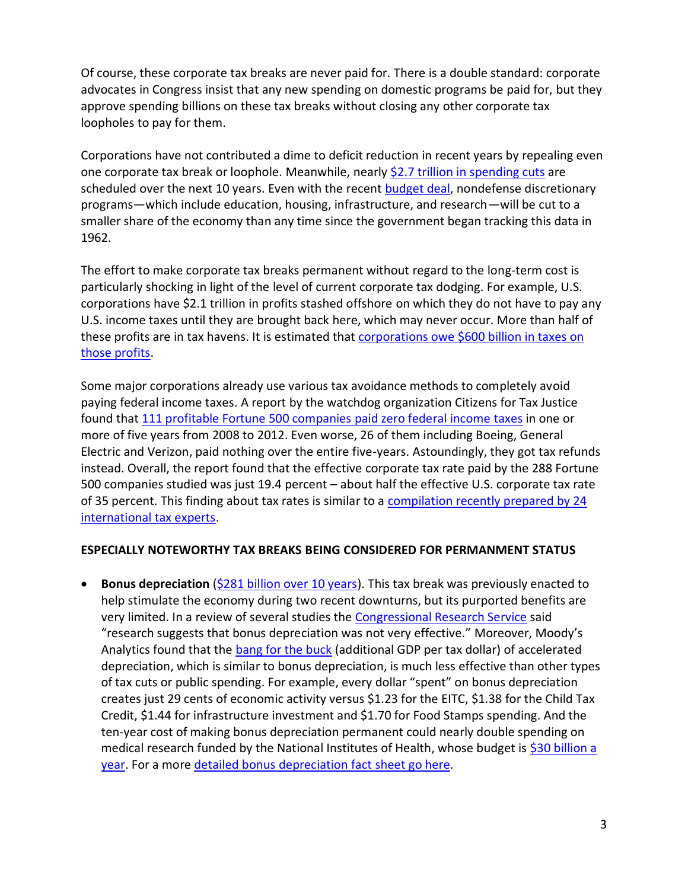Of course, these corporate tax breaks are never paid for. There is a double standard: corporate advocates in Congress insist that any new spending on domestic programs be paid for, but they approve spending billions on these tax breaks without closing any other corporate tax loopholes to pay for them.

Corporations have not contributed a dime to deficit reduction in recent years by repealing even one corporate tax break or loophole. Meanwhile, nearly [\\$2.7 trillion in spending cuts](http://www.budget.senate.gov/democratic/public/_cache/files/ca28afb2-456a-440e-a2ba-699587c984b4/the-republican-budget-a-massive-transfer-of-wealth-from-the-middle-class-to-millionaires-and-billionaires.pdf) are scheduled over the next 10 years. Even with the recent [budget deal,](http://www.cbpp.org/press/statements/greenstein-budget-deal-though-imperfect-represents-significant-accomplishment-and) nondefense discretionary programs—which include education, housing, infrastructure, and research—will be cut to a smaller share of the economy than any time since the government began tracking this data in 1962.

The effort to make corporate tax breaks permanent without regard to the long-term cost is particularly shocking in light of the level of current corporate tax dodging. For example, U.S. corporations have \$2.1 trillion in profits stashed offshore on which they do not have to pay any U.S. income taxes until they are brought back here, which may never occur. More than half of these profits are in tax havens. It is estimated that [corporations owe \\$600 billion in taxes on](http://www.americansfortaxfairness.org/files/ATF-Fact-Sheet-on-600-Billion-from-Chartbook-with-sources.pdf)  [those profits.](http://www.americansfortaxfairness.org/files/ATF-Fact-Sheet-on-600-Billion-from-Chartbook-with-sources.pdf)

Some major corporations already use various tax avoidance methods to completely avoid paying federal income taxes. A report by the watchdog organization Citizens for Tax Justice found that [111 profitable Fortune 500 companies paid zero federal income](http://www.ctj.org/corporatetaxdodgers/sorrystateofcorptaxes.php) taxes in one or more of five years from 2008 to 2012. Even worse, 26 of them including Boeing, General Electric and Verizon, paid nothing over the entire five-years. Astoundingly, they got tax refunds instead. Overall, the report found that the effective corporate tax rate paid by the 288 Fortune 500 companies studied was just 19.4 percent – about half the effective U.S. corporate tax rate of 35 percent. This finding about tax rates is similar to a [compilation recently prepared by 24](http://www.americansfortaxfairness.org/files/Tax-Experts-Summary-of-Research-on-U.S.-Effective-Corporate-Tax-Rates.pdf)  [international tax experts.](http://www.americansfortaxfairness.org/files/Tax-Experts-Summary-of-Research-on-U.S.-Effective-Corporate-Tax-Rates.pdf)

#### **ESPECIALLY NOTEWORTHY TAX BREAKS BEING CONSIDERED FOR PERMANMENT STATUS**

**Bonus depreciation** [\(\\$281 billion over 10 years\)](https://www.jct.gov/publications.html?func=startdown&id=4829). This tax break was previously enacted to help stimulate the economy during two recent downturns, but its purported benefits are very limited. In a review of several studies the [Congressional Research Service](http://cdn.akingump.com/images/content/3/1/v2/31140/Bonus-Depreciation-CRS-Report-July-2014.pdf) said "research suggests that bonus depreciation was not very effective." Moreover, Moody's Analytics found that the [bang for the buck](https://www.economy.com/dismal/analysis/free/224641) (additional GDP per tax dollar) of accelerated depreciation, which is similar to bonus depreciation, is much less effective than other types of tax cuts or public spending. For example, every dollar "spent" on bonus depreciation creates just 29 cents of economic activity versus \$1.23 for the EITC, \$1.38 for the Child Tax Credit, \$1.44 for infrastructure investment and \$1.70 for Food Stamps spending. And the ten-year cost of making bonus depreciation permanent could nearly double spending on medical research funded by the National Institutes of Health, whose budget is [\\$30 billion a](http://www.nih.gov/about-nih/what-we-do/budget)  [year.](http://www.nih.gov/about-nih/what-we-do/budget) For a more [detailed bonus depreciation](http://www.americansfortaxfairness.org/files/ATF-Bonus-Depreciation-Fact-Sheet-2015-FINAL.pdf) fact sheet go here.